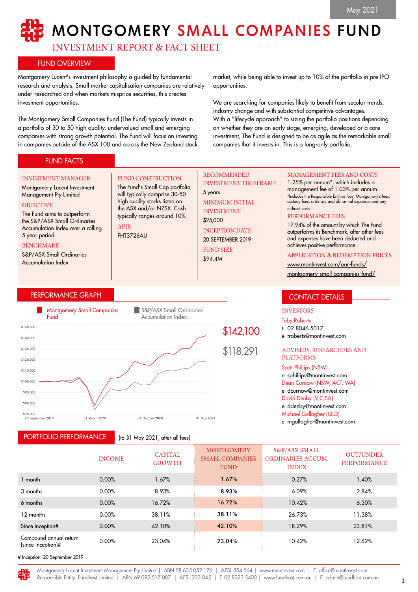# MONTGOMERY SMALL COMPANIES FUND

INVESTMENT REPORT & FACT SHEET

FUND CONSTRUCTION The Fund's Small Cap portfolio will typically comprise 30-50 high quality stocks listed on the ASX and/or NZSX. Cash typically ranges around 10%.

## FUND OVERVIEW

Montgomery Lucent's investment philosophy is guided by fundamental research and analysis. Small market capitalisation companies are relatively under-researched and when markets misprice securities, this creates investment opportunities.

The Montgomery Small Companies Fund (The Fund) typically invests in a portfolio of 30 to 50 high quality, undervalued small and emerging companies with strong growth potential. The Fund will focus on investing in companies outside of the ASX 100 and across the New Zealand stock

market, while being able to invest up to 10% of the portfolio in pre-IPO opportunities.

We are searching for companies likely to benefit from secular trends, industry change and with substantial competitive advantages. With a "lifecycle approach" to sizing the portfolio positions depending on whether they are an early stage, emerging, developed or a core investment, The Fund is designed to be as agile as the remarkable small companies that it invests in. This is a long-only portfolio.

## FUND FACTS

#### INVESTMENT MANAGER

#### Montgomery Lucent Investment Management Pty Limited

#### **OBJECTIVE**

The Fund aims to outperform the S&P/ASX Small Ordinaries Accumulation Index over a rolling 5 year period.

#### BENCHMARK

S&P/ASX Small Ordinaries Accumulation Index

## PERFORMANCE GRAPH



APIR FHT3726AU

PORTFOLIO PERFORMANCE

(to 31 May 2021, after all fees)

## RECOMMENDED INVESTMENT TIMEFRAME

5 years MINIMUM INITIAL INVESTMENT \$25,000 INCEPTION DATE 20 SEPTEMBER 2019 FUND SIZE \$94.4M

## MANAGEMENT FEES AND COSTS

1.25% per annum\*, which includes a management fee of 1.03% per annum. \*Includes the Responsible Entities fees, Montgomery's fees, custody fees, ordinary and abnormal expenses and any indirect costs

#### PERFORMANCE FEES

17.94% of the amount by which The Fund outperforms its Benchmark, after other fees and expenses have been deducted and achieves positive performance.

## APPLICATION & REDEMPTION PRICES

[www.montinvest.com/our-funds/](http://www.montinvest.com/our-funds/montgomery-small-companies-fund/) [montgomery-small-companies-fund/](http://www.montinvest.com/our-funds/montgomery-small-companies-fund/)

## CONTACT DETAILS

## INVESTORS

Toby Roberts

- t 02 8046 5017
- e troberts@montinvest.com

#### ADVISERS, RESEARCHERS AND PLATFORMS

Scott Phillips (NSW)

e sphillips@montinvest.com Dean Curnow (NSW, ACT, WA) e dcurnow@montinvest.com David Denby (VIC,SA) e ddenby@montinvest.com Michael Gollagher (QLD)

e mgollagher@montinvest.com

| <b>INCOME</b> | <b>CAPITAL</b><br><b>GROWTH</b> | <b>MONTGOMERY</b><br><b>SMALL COMPANIES</b><br><b>FUND</b> | <b>S&amp;P/ASX SMALL</b><br>ORDINARIES ACCUM.<br><b>INDEX</b> | <b>OUT/UNDER</b><br><b>PERFORMANCE</b> |
|---------------|---------------------------------|------------------------------------------------------------|---------------------------------------------------------------|----------------------------------------|
| 0.00%         | 1.67%                           | 1.67%                                                      | 0.27%                                                         | 1.40%                                  |
| 0.00%         | 8.93%                           | 8.93%                                                      | 6.09%                                                         | 2.84%                                  |
| 0.00%         | 16.72%                          | 16.72%                                                     | 10.42%                                                        | 6.30%                                  |
| 0.00%         | 38.11%                          | 38.11%                                                     | 26.73%                                                        | 11.38%                                 |
| 0.00%         | 42.10%                          | 42.10%                                                     | 18.29%                                                        | 23.81%                                 |
| 0.00%         | 23.04%                          | 23.04%                                                     | 10.42%                                                        | 12.62%                                 |
|               |                                 |                                                            |                                                               |                                        |

# Inception: 20 September 2019

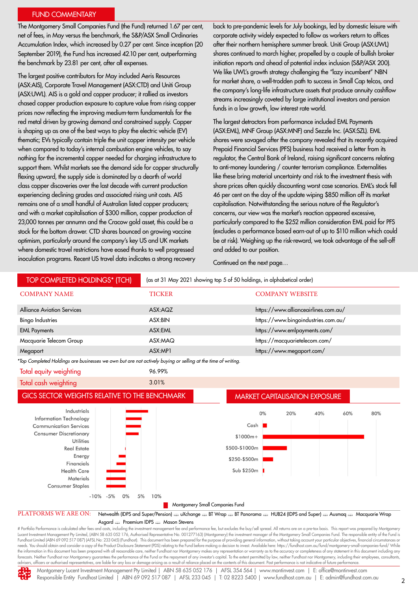## FUND COMMENTARY

The Montgomery Small Companies Fund (the Fund) returned 1.67 per cent, net of fees, in May versus the benchmark, the S&P/ASX Small Ordinaries Accumulation Index, which increased by 0.27 per cent. Since inception (20 September 2019), the Fund has increased 42.10 per cent, outperforming the benchmark by 23.81 per cent, after all expenses.

The largest positive contributors for May included Aeris Resources (ASX:AIS), Corporate Travel Management (ASX:CTD) and Uniti Group (ASX:UWL). AIS is a gold and copper producer; it rallied as investors chased copper production exposure to capture value from rising copper prices now reflecting the improving medium-term fundamentals for the red metal driven by growing demand and constrained supply. Copper is shaping up as one of the best ways to play the electric vehicle (EV) thematic; EVs typically contain triple the unit copper intensity per vehicle when compared to today's internal combustion engine vehicles, to say nothing for the incremental copper needed for charging infrastructure to support them. Whilst markets see the demand side for copper structurally flexing upward, the supply side is dominated by a dearth of world class copper discoveries over the last decade with current production experiencing declining grades and associated rising unit costs. AIS remains one of a small handful of Australian listed copper producers; and with a market capitalisation of \$300 million, copper production of 23,000 tonnes per annumn and the Cracow gold asset, this could be a stock for the bottom drawer. CTD shares bounced on growing vaccine optimism, particularly around the company's key US and UK markets where domestic travel restrictions have eased thanks to well progressed inoculation programs. Recent US travel data indicates a strong recovery

back to pre-pandemic levels for July bookings, led by domestic leisure with corporate activity widely expected to follow as workers return to offices after their northern hemisphere summer break. Uniti Group (ASX:UWL) shares continued to march higher, propelled by a couple of bullish broker initiation reports and ahead of potential index inclusion (S&P/ASX 200). We like UWL's growth strategy challenging the "lazy incumbent" NBN for market share, a well-trodden path to success in Small Cap telcos, and the company's long-life infrastructure assets that produce annuity cashflow streams increasingly coveted by large institutional investors and pension funds in a low growth, low interest rate world.

The largest detractors from performance included EML Payments (ASX:EML), MNF Group (ASX:MNF) and Sezzle Inc. (ASX:SZL). EML shares were savaged after the company revealed that its recently acquired Prepaid Financial Services (PFS) business had received a letter from its regulator, the Central Bank of Ireland, raising significant concerns relating to anti-money laundering / counter terrorism compliance. Externalities like these bring material uncertainty and risk to the investment thesis with share prices often quickly discounting worst case scenarios. EML's stock fell 46 per cent on the day of the update wiping \$850 million off its market capitalisation. Notwithstanding the serious nature of the Regulator's concerns, our view was the market's reaction appeared excessive, particularly compared to the \$252 million consideration EML paid for PFS (excludes a performance based earn-out of up to \$110 million which could be at risk). Weighing up the risk-reward, we took advantage of the sell-off and added to our position.

Continued on the next page…

| <b>TOP COMPLETED HOLDINGS* (TCH)</b>                                                                                                                                                                                                                                                | (as at 31 May 2021 showing top 5 of 50 holdings, in alphabetical order) |                                                                                                                                                                                                                                                                                                                                                            |  |
|-------------------------------------------------------------------------------------------------------------------------------------------------------------------------------------------------------------------------------------------------------------------------------------|-------------------------------------------------------------------------|------------------------------------------------------------------------------------------------------------------------------------------------------------------------------------------------------------------------------------------------------------------------------------------------------------------------------------------------------------|--|
| <b>COMPANY NAME</b>                                                                                                                                                                                                                                                                 | <b>TICKER</b>                                                           | <b>COMPANY WEBSITE</b>                                                                                                                                                                                                                                                                                                                                     |  |
| <b>Alliance Aviation Services</b>                                                                                                                                                                                                                                                   | ASX:AQZ                                                                 | https://www.allianceairlines.com.au/                                                                                                                                                                                                                                                                                                                       |  |
| <b>Bingo Industries</b>                                                                                                                                                                                                                                                             | ASX:BIN                                                                 | https://www.bingoindustries.com.au/                                                                                                                                                                                                                                                                                                                        |  |
| <b>EML Payments</b>                                                                                                                                                                                                                                                                 | ASX:EML                                                                 | https://www.emlpayments.com/                                                                                                                                                                                                                                                                                                                               |  |
| Macquarie Telecom Group                                                                                                                                                                                                                                                             | ASX:MAQ                                                                 | https://macquarietelecom.com/                                                                                                                                                                                                                                                                                                                              |  |
| Megaport                                                                                                                                                                                                                                                                            | ASX:MP1                                                                 | https://www.megaport.com/                                                                                                                                                                                                                                                                                                                                  |  |
| *Top Completed Holdings are businesses we own but are not actively buying or selling at the time of writing.                                                                                                                                                                        |                                                                         |                                                                                                                                                                                                                                                                                                                                                            |  |
| Total equity weighting                                                                                                                                                                                                                                                              | 96.99%                                                                  |                                                                                                                                                                                                                                                                                                                                                            |  |
| Total cash weighting                                                                                                                                                                                                                                                                | 3.01%                                                                   |                                                                                                                                                                                                                                                                                                                                                            |  |
| GICS SECTOR WEIGHTS RELATIVE TO THE BENCHMARK                                                                                                                                                                                                                                       |                                                                         | <b>MARKET CAPITALISATION EXPOSURE</b>                                                                                                                                                                                                                                                                                                                      |  |
| Industrials<br>È<br><b>Information Technology</b><br><b>Communication Services</b><br><b>Consumer Discretionary</b><br><b>Utilities</b><br><b>Real Estate</b><br>Energy<br>Financials<br><b>Health Care</b><br><b>Materials</b><br><b>Consumer Staples</b><br>$-5%$<br>0%<br>$-10%$ | 5%<br>10%                                                               | 0%<br>20%<br>40%<br>60%<br>80%<br>Cash  <br>$$1000m+$<br>\$500-\$1000m<br>\$250-\$500m<br>Sub \$250m                                                                                                                                                                                                                                                       |  |
|                                                                                                                                                                                                                                                                                     |                                                                         | Montgomery Small Companies Fund                                                                                                                                                                                                                                                                                                                            |  |
| PLATFORMS WE ARE ON:                                                                                                                                                                                                                                                                | Asgard <b>expansion</b> IDPS <b>expansion</b> Stevens                   | Netwealth (IDPS and Super/Pension) = uXchange = BT Wrap = BT Panorama = HUB24 (IDPS and Super) = Ausmaq = Macquarie Wrap<br># Portfolio Performance is calculated after fees and costs, including the investment management fee and performance fee, but excludes the buy/sell spread. All returns are on a pre-tax basis. This report was prepared by Mon |  |

d, (ABN 58 635 052 176, Authorised Representative No. 001277163) (Montgomery) the investment manager of the Montgomery Small Companies Fund. The responsible entity of the Fund is Fundhost Limited (ABN 69 092 517 087) (AFSL No: 233 045) (Fundhost). This document has been prepared for the purpose of providing general information, without taking account your particular objectives, financial circumstan needs. You should obtain and consider a copy of the Product Disclosure Statement (PDS) relating to the Fund before making a decision to invest. Available here: https://fundhost.com.au/fund/montgomery-small-companies-fund/ the information in this document has been prepared with all reasonable care, neither Fundhost nor Montgomery makes any representation or warranty as to the accuracy or completeness of any statement in this document includi advisers, officers or authorised representatives, are liable for any loss or damage arising as a result of reliance placed on the contents of this document. Past performance is not indicative of future performance.